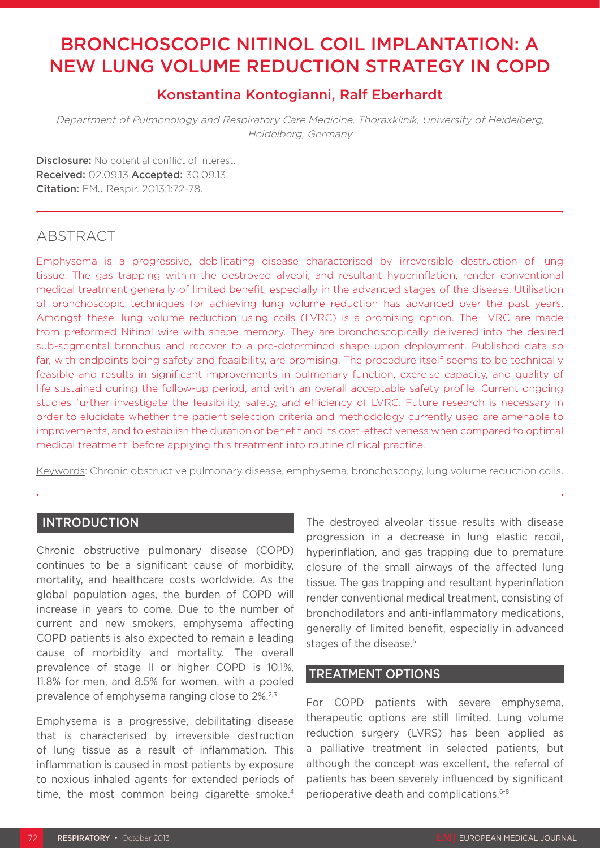# BRONCHOSCOPIC NITINOL COIL IMPLANTATION: A NEW LUNG VOLUME REDUCTION STRATEGY IN COPD

# Konstantina Kontogianni, Ralf Eberhardt

Department of Pulmonology and Respiratory Care Medicine, Thoraxklinik, University of Heidelberg, Heidelberg, Germany

Disclosure: No potential conflict of interest. Received: 02.09.13 Accepted: 30.09.13 Citation: EMJ Respir. 2013;1:72-78.

# ABSTRACT

Emphysema is a progressive, debilitating disease characterised by irreversible destruction of lung tissue. The gas trapping within the destroyed alveoli, and resultant hyperinflation, render conventional medical treatment generally of limited benefit, especially in the advanced stages of the disease. Utilisation of bronchoscopic techniques for achieving lung volume reduction has advanced over the past years. Amongst these, lung volume reduction using coils (LVRC) is a promising option. The LVRC are made from preformed Nitinol wire with shape memory. They are bronchoscopically delivered into the desired sub-segmental bronchus and recover to a pre-determined shape upon deployment. Published data so far, with endpoints being safety and feasibility, are promising. The procedure itself seems to be technically feasible and results in significant improvements in pulmonary function, exercise capacity, and quality of life sustained during the follow-up period, and with an overall acceptable safety profile. Current ongoing studies further investigate the feasibility, safety, and efficiency of LVRC. Future research is necessary in order to elucidate whether the patient selection criteria and methodology currently used are amenable to improvements, and to establish the duration of benefit and its cost-effectiveness when compared to optimal medical treatment, before applying this treatment into routine clinical practice.

Keywords: Chronic obstructive pulmonary disease, emphysema, bronchoscopy, lung volume reduction coils.

# **INTRODUCTION**

Chronic obstructive pulmonary disease (COPD) continues to be a significant cause of morbidity, mortality, and healthcare costs worldwide. As the global population ages, the burden of COPD will increase in years to come. Due to the number of current and new smokers, emphysema affecting COPD patients is also expected to remain a leading cause of morbidity and mortality.<sup>1</sup> The overall prevalence of stage II or higher COPD is 10.1%, 11.8% for men, and 8.5% for women, with a pooled prevalence of emphysema ranging close to 2%.2,3

Emphysema is a progressive, debilitating disease that is characterised by irreversible destruction of lung tissue as a result of inflammation. This inflammation is caused in most patients by exposure to noxious inhaled agents for extended periods of time, the most common being cigarette smoke.<sup>4</sup> The destroyed alveolar tissue results with disease progression in a decrease in lung elastic recoil, hyperinflation, and gas trapping due to premature closure of the small airways of the affected lung tissue. The gas trapping and resultant hyperinflation render conventional medical treatment, consisting of bronchodilators and anti-inflammatory medications, generally of limited benefit, especially in advanced stages of the disease.<sup>5</sup>

# TREATMENT OPTIONS

For COPD patients with severe emphysema, therapeutic options are still limited. Lung volume reduction surgery (LVRS) has been applied as a palliative treatment in selected patients, but although the concept was excellent, the referral of patients has been severely influenced by significant perioperative death and complications.6-8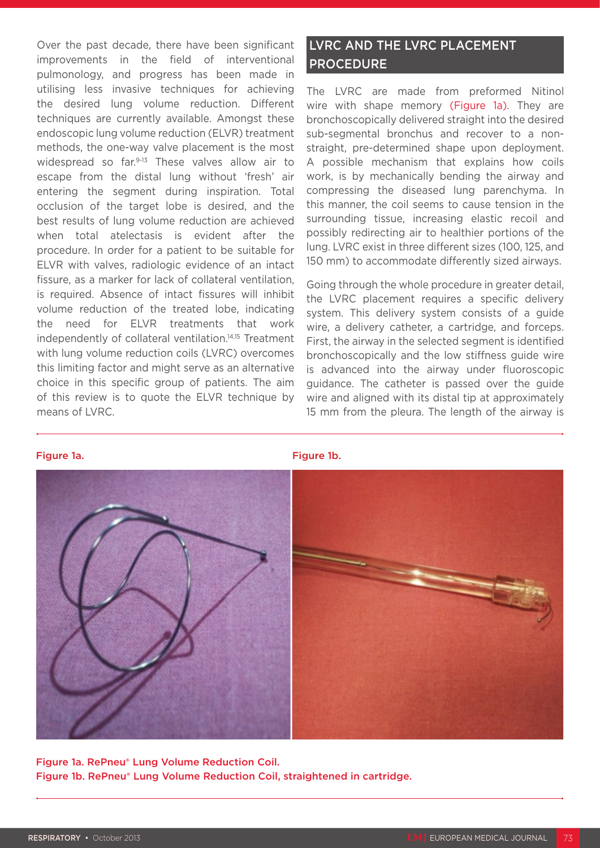Over the past decade, there have been significant improvements in the field of interventional pulmonology, and progress has been made in utilising less invasive techniques for achieving the desired lung volume reduction. Different techniques are currently available. Amongst these endoscopic lung volume reduction (ELVR) treatment methods, the one-way valve placement is the most widespread so far.<sup>9-13</sup> These valves allow air to escape from the distal lung without 'fresh' air entering the segment during inspiration. Total occlusion of the target lobe is desired, and the best results of lung volume reduction are achieved when total atelectasis is evident after the procedure. In order for a patient to be suitable for ELVR with valves, radiologic evidence of an intact fissure, as a marker for lack of collateral ventilation, is required. Absence of intact fissures will inhibit volume reduction of the treated lobe, indicating the need for ELVR treatments that work independently of collateral ventilation.14,15 Treatment with lung volume reduction coils (LVRC) overcomes this limiting factor and might serve as an alternative choice in this specific group of patients. The aim of this review is to quote the ELVR technique by means of LVRC.

# LVRC AND THE LVRC PLACEMENT PROCEDURE

The LVRC are made from preformed Nitinol wire with shape memory (Figure 1a). They are bronchoscopically delivered straight into the desired sub-segmental bronchus and recover to a nonstraight, pre-determined shape upon deployment. A possible mechanism that explains how coils work, is by mechanically bending the airway and compressing the diseased lung parenchyma. In this manner, the coil seems to cause tension in the surrounding tissue, increasing elastic recoil and possibly redirecting air to healthier portions of the lung. LVRC exist in three different sizes (100, 125, and 150 mm) to accommodate differently sized airways.

Going through the whole procedure in greater detail, the LVRC placement requires a specific delivery system. This delivery system consists of a guide wire, a delivery catheter, a cartridge, and forceps. First, the airway in the selected segment is identified bronchoscopically and the low stiffness guide wire is advanced into the airway under fluoroscopic guidance. The catheter is passed over the guide wire and aligned with its distal tip at approximately 15 mm from the pleura. The length of the airway is



Figure 1a. RePneu® Lung Volume Reduction Coil. Figure 1b. RePneu® Lung Volume Reduction Coil, straightened in cartridge.

#### Figure 1a. **Figure 1a. Figure 1a. Figure 1a. Figure 1a.**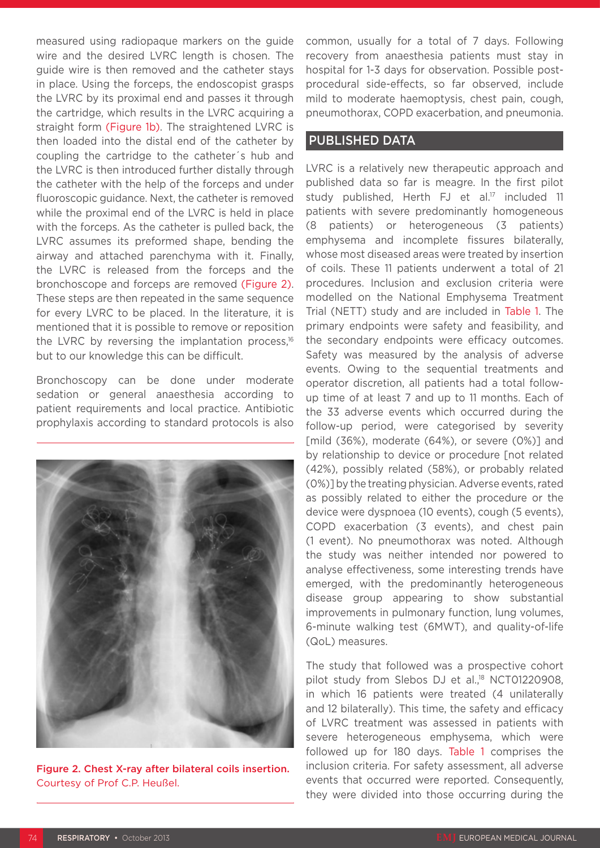measured using radiopaque markers on the guide wire and the desired LVRC length is chosen. The guide wire is then removed and the catheter stays in place. Using the forceps, the endoscopist grasps the LVRC by its proximal end and passes it through the cartridge, which results in the LVRC acquiring a straight form (Figure 1b). The straightened LVRC is then loaded into the distal end of the catheter by coupling the cartridge to the catheter´s hub and the LVRC is then introduced further distally through the catheter with the help of the forceps and under fluoroscopic guidance. Next, the catheter is removed while the proximal end of the LVRC is held in place with the forceps. As the catheter is pulled back, the LVRC assumes its preformed shape, bending the airway and attached parenchyma with it. Finally, the LVRC is released from the forceps and the bronchoscope and forceps are removed (Figure 2). These steps are then repeated in the same sequence for every LVRC to be placed. In the literature, it is mentioned that it is possible to remove or reposition the LVRC by reversing the implantation process.<sup>16</sup> but to our knowledge this can be difficult.

Bronchoscopy can be done under moderate sedation or general anaesthesia according to patient requirements and local practice. Antibiotic prophylaxis according to standard protocols is also



Figure 2. Chest X-ray after bilateral coils insertion. Courtesy of Prof C.P. Heußel.

common, usually for a total of 7 days. Following recovery from anaesthesia patients must stay in hospital for 1-3 days for observation. Possible postprocedural side-effects, so far observed, include mild to moderate haemoptysis, chest pain, cough, pneumothorax, COPD exacerbation, and pneumonia.

### PUBLISHED DATA

LVRC is a relatively new therapeutic approach and published data so far is meagre. In the first pilot study published, Herth FJ et al.<sup>17</sup> included 11 patients with severe predominantly homogeneous (8 patients) or heterogeneous (3 patients) emphysema and incomplete fissures bilaterally, whose most diseased areas were treated by insertion of coils. These 11 patients underwent a total of 21 procedures. Inclusion and exclusion criteria were modelled on the National Emphysema Treatment Trial (NETT) study and are included in Table 1. The primary endpoints were safety and feasibility, and the secondary endpoints were efficacy outcomes. Safety was measured by the analysis of adverse events. Owing to the sequential treatments and operator discretion, all patients had a total followup time of at least 7 and up to 11 months. Each of the 33 adverse events which occurred during the follow-up period, were categorised by severity [mild  $(36%)$ , moderate  $(64%)$ , or severe  $(0%)$ ] and by relationship to device or procedure [not related (42%), possibly related (58%), or probably related (0%)] by the treating physician. Adverse events, rated as possibly related to either the procedure or the device were dyspnoea (10 events), cough (5 events), COPD exacerbation (3 events), and chest pain (1 event). No pneumothorax was noted. Although the study was neither intended nor powered to analyse effectiveness, some interesting trends have emerged, with the predominantly heterogeneous disease group appearing to show substantial improvements in pulmonary function, lung volumes, 6-minute walking test (6MWT), and quality-of-life (QoL) measures.

The study that followed was a prospective cohort pilot study from Slebos DJ et al.,<sup>18</sup> NCT01220908, in which 16 patients were treated (4 unilaterally and 12 bilaterally). This time, the safety and efficacy of LVRC treatment was assessed in patients with severe heterogeneous emphysema, which were followed up for 180 days. Table 1 comprises the inclusion criteria. For safety assessment, all adverse events that occurred were reported. Consequently, they were divided into those occurring during the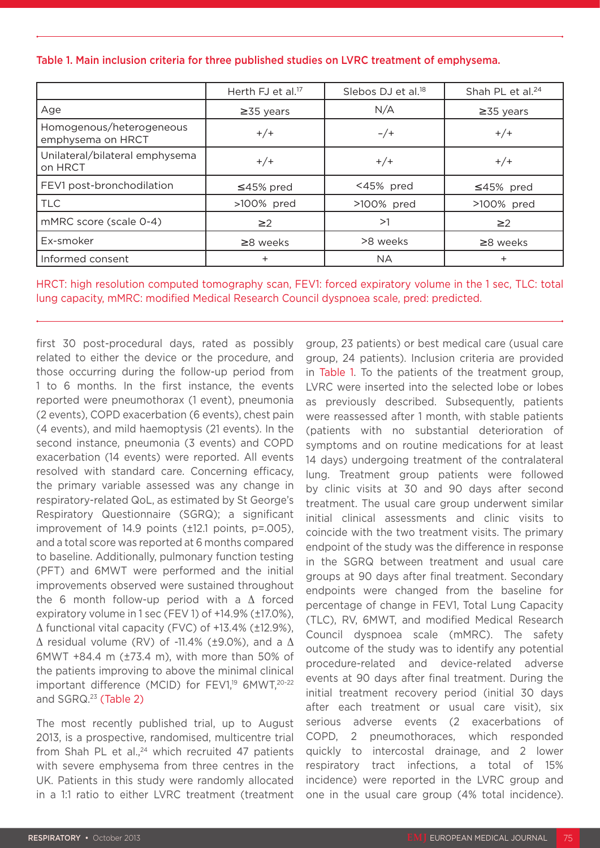|  |  |  |  | Table 1. Main inclusion criteria for three published studies on LVRC treatment of emphysema. |  |  |
|--|--|--|--|----------------------------------------------------------------------------------------------|--|--|
|--|--|--|--|----------------------------------------------------------------------------------------------|--|--|

|                                               | Herth FJ et al. <sup>17</sup> | Slebos DJ et al. <sup>18</sup> | Shah PL et al. <sup>24</sup> |
|-----------------------------------------------|-------------------------------|--------------------------------|------------------------------|
| Age                                           | $\geq$ 35 years               | N/A                            | $\geq$ 35 years              |
| Homogenous/heterogeneous<br>emphysema on HRCT | $+/+$                         | $-/+$                          | $+/+$                        |
| Unilateral/bilateral emphysema<br>on HRCT     | $+/+$                         | $+/+$                          | $+/+$                        |
| FEV1 post-bronchodilation                     | $\leq$ 45% pred               | <45% pred                      | $≤45%$ pred                  |
| <b>TLC</b>                                    | >100% pred                    | >100% pred                     | >100% pred                   |
| mMRC score (scale 0-4)                        | $\geq$ 2                      | >1                             | $\geq$ 2                     |
| Ex-smoker                                     | $\geq$ 8 weeks                | >8 weeks                       | $\geq$ 8 weeks               |
| Informed consent                              | $\pm$                         | <b>NA</b>                      | ÷                            |

HRCT: high resolution computed tomography scan, FEV1: forced expiratory volume in the 1 sec, TLC: total lung capacity, mMRC: modified Medical Research Council dyspnoea scale, pred: predicted.

first 30 post-procedural days, rated as possibly related to either the device or the procedure, and those occurring during the follow-up period from 1 to 6 months. In the first instance, the events reported were pneumothorax (1 event), pneumonia (2 events), COPD exacerbation (6 events), chest pain (4 events), and mild haemoptysis (21 events). In the second instance, pneumonia (3 events) and COPD exacerbation (14 events) were reported. All events resolved with standard care. Concerning efficacy, the primary variable assessed was any change in respiratory-related QoL, as estimated by St George's Respiratory Questionnaire (SGRQ); a significant improvement of 14.9 points (±12.1 points, p=.005), and a total score was reported at 6 months compared to baseline. Additionally, pulmonary function testing (PFT) and 6MWT were performed and the initial improvements observed were sustained throughout the 6 month follow-up period with a Δ forced expiratory volume in 1 sec (FEV 1) of +14.9% (±17.0%), Δ functional vital capacity (FVC) of +13.4% (±12.9%),  $\Delta$  residual volume (RV) of -11.4% (±9.0%), and a  $\Delta$ 6MWT +84.4 m (±73.4 m), with more than 50% of the patients improving to above the minimal clinical important difference (MCID) for  $FEVI<sub>19</sub>$  6MWT,<sup>20-22</sup> and SGRQ.<sup>23</sup> (Table 2)

The most recently published trial, up to August 2013, is a prospective, randomised, multicentre trial from Shah PL et al., $24$  which recruited 47 patients with severe emphysema from three centres in the UK. Patients in this study were randomly allocated in a 1:1 ratio to either LVRC treatment (treatment group, 23 patients) or best medical care (usual care group, 24 patients). Inclusion criteria are provided in Table 1. To the patients of the treatment group, LVRC were inserted into the selected lobe or lobes as previously described. Subsequently, patients were reassessed after 1 month, with stable patients (patients with no substantial deterioration of symptoms and on routine medications for at least 14 days) undergoing treatment of the contralateral lung. Treatment group patients were followed by clinic visits at 30 and 90 days after second treatment. The usual care group underwent similar initial clinical assessments and clinic visits to coincide with the two treatment visits. The primary endpoint of the study was the difference in response in the SGRQ between treatment and usual care groups at 90 days after final treatment. Secondary endpoints were changed from the baseline for percentage of change in FEV1, Total Lung Capacity (TLC), RV, 6MWT, and modified Medical Research Council dyspnoea scale (mMRC). The safety outcome of the study was to identify any potential procedure-related and device-related adverse events at 90 days after final treatment. During the initial treatment recovery period (initial 30 days after each treatment or usual care visit), six serious adverse events (2 exacerbations of COPD, 2 pneumothoraces, which responded quickly to intercostal drainage, and 2 lower respiratory tract infections, a total of 15% incidence) were reported in the LVRC group and one in the usual care group (4% total incidence).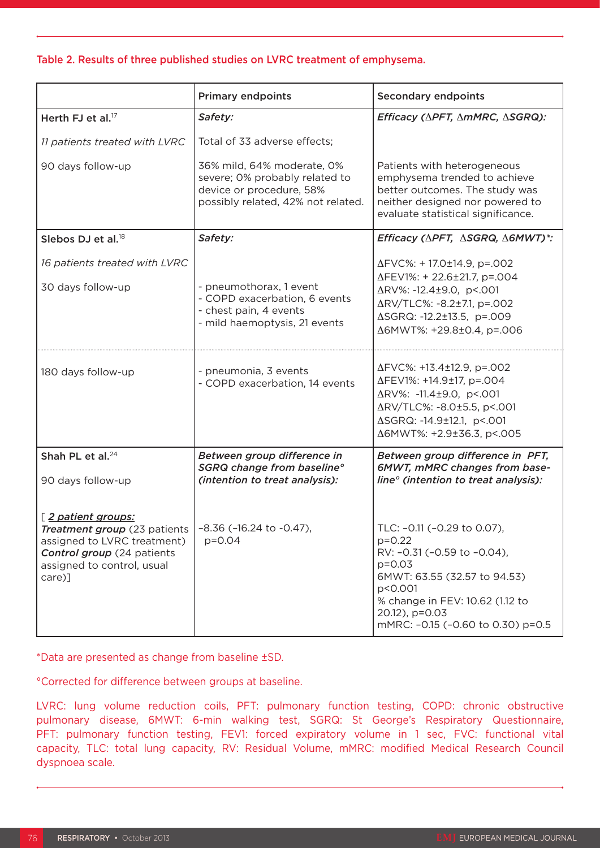### Table 2. Results of three published studies on LVRC treatment of emphysema.

|                                                                                                                                                                                    | <b>Primary endpoints</b>                                                                                                       | <b>Secondary endpoints</b>                                                                                                                                                                                                |  |
|------------------------------------------------------------------------------------------------------------------------------------------------------------------------------------|--------------------------------------------------------------------------------------------------------------------------------|---------------------------------------------------------------------------------------------------------------------------------------------------------------------------------------------------------------------------|--|
| Herth FJ et al. <sup>17</sup>                                                                                                                                                      | Safety:                                                                                                                        | Efficacy (APFT, AmMRC, ASGRQ):                                                                                                                                                                                            |  |
| 11 patients treated with LVRC                                                                                                                                                      | Total of 33 adverse effects;                                                                                                   |                                                                                                                                                                                                                           |  |
| 90 days follow-up                                                                                                                                                                  | 36% mild, 64% moderate, 0%<br>severe; 0% probably related to<br>device or procedure, 58%<br>possibly related, 42% not related. | Patients with heterogeneous<br>emphysema trended to achieve<br>better outcomes. The study was<br>neither designed nor powered to<br>evaluate statistical significance.                                                    |  |
| Slebos DJ et al. <sup>18</sup>                                                                                                                                                     | Safety:                                                                                                                        | Efficacy (APFT, ASGRQ, A6MWT)*:                                                                                                                                                                                           |  |
| 16 patients treated with LVRC<br>30 days follow-up                                                                                                                                 | - pneumothorax, 1 event<br>- COPD exacerbation, 6 events<br>- chest pain, 4 events<br>- mild haemoptysis, 21 events            | ΔFVC%: +17.0±14.9, p=.002<br>ΔFEV1%: +22.6±21.7, p=.004<br>ΔRV%: -12.4±9.0, p<.001<br>ΔRV/TLC%: -8.2±7.1, p=.002<br>∆SGRQ: -12.2±13.5, p=.009<br>Δ6MWT%: +29.8±0.4, p=.006                                                |  |
| 180 days follow-up                                                                                                                                                                 | - pneumonia, 3 events<br>- COPD exacerbation, 14 events                                                                        | ΔFVC%: +13.4±12.9, p=.002<br>ΔFEV1%: +14.9±17, p=.004<br>ΔRV%: -11.4±9.0, p<.001<br>ΔRV/TLC%: -8.0±5.5, p<.001<br>∆SGRQ: -14.9±12.1, p<.001<br>Δ6MWT%: +2.9±36.3, p<.005                                                  |  |
| Shah PL et al. <sup>24</sup>                                                                                                                                                       | Between group difference in<br>SGRQ change from baseline°<br>(intention to treat analysis):                                    | Between group difference in PFT,<br>6MWT, mMRC changes from base-<br>line <sup>o</sup> (intention to treat analysis):                                                                                                     |  |
| 90 days follow-up                                                                                                                                                                  |                                                                                                                                |                                                                                                                                                                                                                           |  |
| [2 patient groups:<br>Treatment group (23 patients   -8.36 (-16.24 to -0.47),<br>assigned to LVRC treatment)<br>Control group (24 patients<br>assigned to control, usual<br>care)] | $p = 0.04$                                                                                                                     | TLC: -0.11 (-0.29 to 0.07),<br>$p=0.22$<br>RV: -0.31 (-0.59 to -0.04),<br>$p = 0.03$<br>6MWT: 63.55 (32.57 to 94.53)<br>p<0.001<br>% change in FEV: 10.62 (1.12 to<br>20.12), p=0.03<br>mMRC: -0.15 (-0.60 to 0.30) p=0.5 |  |

\*Data are presented as change from baseline ±SD.

°Corrected for difference between groups at baseline.

LVRC: lung volume reduction coils, PFT: pulmonary function testing, COPD: chronic obstructive pulmonary disease, 6MWT: 6-min walking test, SGRQ: St George's Respiratory Questionnaire, PFT: pulmonary function testing, FEV1: forced expiratory volume in 1 sec, FVC: functional vital capacity, TLC: total lung capacity, RV: Residual Volume, mMRC: modified Medical Research Council dyspnoea scale.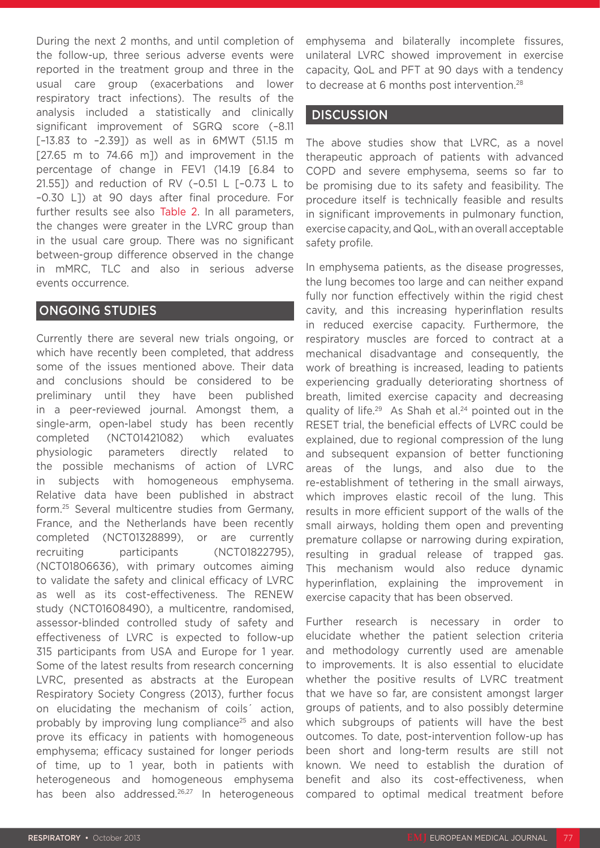During the next 2 months, and until completion of the follow-up, three serious adverse events were reported in the treatment group and three in the usual care group (exacerbations and lower respiratory tract infections). The results of the analysis included a statistically and clinically significant improvement of SGRQ score (–8.11 [–13.83 to –2.39]) as well as in 6MWT (51.15 m [27.65 m to 74.66 m]) and improvement in the percentage of change in FEV1 (14.19 [6.84 to 21.551) and reduction of RV (-0.51 L  $[-0.73 \text{ L to}]$ –0.30 L]) at 90 days after final procedure. For further results see also Table 2. In all parameters, the changes were greater in the LVRC group than in the usual care group. There was no significant between-group difference observed in the change in mMRC, TLC and also in serious adverse events occurrence.

# ONGOING STUDIES

Currently there are several new trials ongoing, or which have recently been completed, that address some of the issues mentioned above. Their data and conclusions should be considered to be preliminary until they have been published in a peer-reviewed journal. Amongst them, a single-arm, open-label study has been recently completed (NCT01421082) which evaluates physiologic parameters directly related to the possible mechanisms of action of LVRC in subjects with homogeneous emphysema. Relative data have been published in abstract form.25 Several multicentre studies from Germany, France, and the Netherlands have been recently completed (NCT01328899), or are currently recruiting participants (NCT01822795), (NCT01806636), with primary outcomes aiming to validate the safety and clinical efficacy of LVRC as well as its cost-effectiveness. The RENEW study (NCT01608490), a multicentre, randomised, assessor-blinded controlled study of safety and effectiveness of LVRC is expected to follow-up 315 participants from USA and Europe for 1 year. Some of the latest results from research concerning LVRC, presented as abstracts at the European Respiratory Society Congress (2013), further focus on elucidating the mechanism of coils´ action, probably by improving lung compliance25 and also prove its efficacy in patients with homogeneous emphysema; efficacy sustained for longer periods of time, up to 1 year, both in patients with heterogeneous and homogeneous emphysema has been also addressed.<sup>26,27</sup> In heterogeneous

emphysema and bilaterally incomplete fissures, unilateral LVRC showed improvement in exercise capacity, QoL and PFT at 90 days with a tendency to decrease at 6 months post intervention.<sup>28</sup>

### **DISCUSSION**

The above studies show that LVRC, as a novel therapeutic approach of patients with advanced COPD and severe emphysema, seems so far to be promising due to its safety and feasibility. The procedure itself is technically feasible and results in significant improvements in pulmonary function, exercise capacity, and QoL, with an overall acceptable safety profile.

In emphysema patients, as the disease progresses, the lung becomes too large and can neither expand fully nor function effectively within the rigid chest cavity, and this increasing hyperinflation results in reduced exercise capacity. Furthermore, the respiratory muscles are forced to contract at a mechanical disadvantage and consequently, the work of breathing is increased, leading to patients experiencing gradually deteriorating shortness of breath, limited exercise capacity and decreasing quality of life.<sup>29</sup> As Shah et al.<sup>24</sup> pointed out in the RESET trial, the beneficial effects of LVRC could be explained, due to regional compression of the lung and subsequent expansion of better functioning areas of the lungs, and also due to the re-establishment of tethering in the small airways, which improves elastic recoil of the lung. This results in more efficient support of the walls of the small airways, holding them open and preventing premature collapse or narrowing during expiration, resulting in gradual release of trapped gas. This mechanism would also reduce dynamic hyperinflation, explaining the improvement in exercise capacity that has been observed.

Further research is necessary in order to elucidate whether the patient selection criteria and methodology currently used are amenable to improvements. It is also essential to elucidate whether the positive results of LVRC treatment that we have so far, are consistent amongst larger groups of patients, and to also possibly determine which subgroups of patients will have the best outcomes. To date, post-intervention follow-up has been short and long-term results are still not known. We need to establish the duration of benefit and also its cost-effectiveness, when compared to optimal medical treatment before